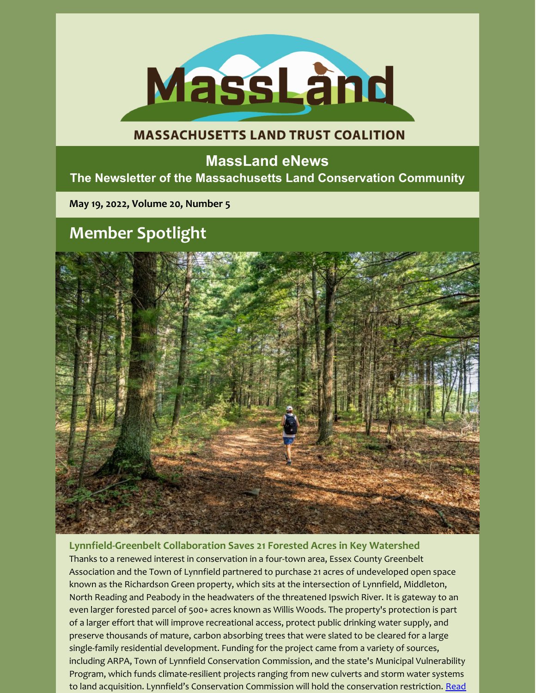

## **MASSACHUSETTS LAND TRUST COALITION**

## **MassLand eNews The Newsletter of the Massachusetts Land Conservation Community**

**May 19, 2022, Volume 20, Number 5**

# **Member Spotlight**



**Lynnfield-Greenbelt Collaboration Saves 21 Forested Acres in Key Watershed** Thanks to a renewed interest in conservation in a four-town area, Essex County Greenbelt Association and the Town of Lynnfield partnered to purchase 21 acres of undeveloped open space known as the Richardson Green property, which sits at the intersection of Lynnfield, Middleton, North Reading and Peabody in the headwaters of the threatened Ipswich River. It is gateway to an even larger forested parcel of 500+ acres known as Willis Woods. The property's protection is part of a larger effort that will improve recreational access, protect public drinking water supply, and preserve thousands of mature, carbon absorbing trees that were slated to be cleared for a large single-family residential development. Funding for the project came from a variety of sources, including ARPA, Town of Lynnfield Conservation Commission, and the state's Municipal Vulnerability Program, which funds climate-resilient projects ranging from new culverts and storm water systems to land acquisition. Lynnfield's Conservation Commission will hold the conservation restriction. Read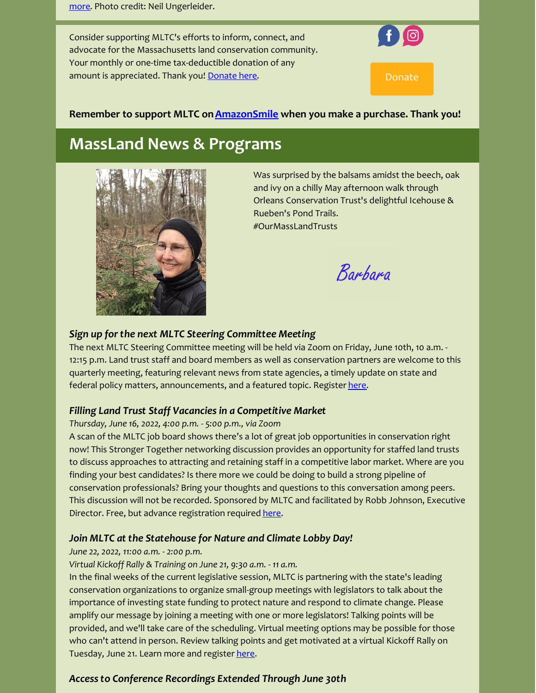Consider supporting MLTC's efforts to inform, connect, and advocate for the Massachusetts land conservation community. Your monthly or one-time tax-deductible donation of any amount is appreciated. Thank you! [Donate](https://www.paypal.com/donate/?hosted_button_id=5EWRQ9Z9P3XA2&source=url) here. Donate here are all than Donate



## **Remember to support MLTC on[AmazonSmile](https://smile.amazon.com/ch/27-2331022?ref_=pe_undef) when you make a purchase. Thank you!**

## **MassLand News & Programs**



Was surprised by the balsams amidst the beech, oak and ivy on a chilly May afternoon walk through Orleans Conservation Trust's delightful Icehouse & Rueben's Pond Trails. #OurMassLandTrusts

Barbara

## *Sign up for the next MLTC Steering Committee Meeting*

The next MLTC Steering Committee meeting will be held via Zoom on Friday, June 10th, 10 a.m. - 12:15 p.m. Land trust staff and board members as well as conservation partners are welcome to this quarterly meeting, featuring relevant news from state agencies, a timely update on state and federal policy matters, announcements, and a featured topic. Register [here](https://us02web.zoom.us/meeting/register/tZIkfumvrD4qG9Qgp30aXbep52neTaOohQNA).

## *Filling Land Trust Staff Vacancies in a Competitive Market*

#### *Thursday, June 16, 2022, 4:00 p.m. - 5:00 p.m., via Zoom*

A scan of the MLTC job board shows there's a lot of great job opportunities in conservation right now! This Stronger Together networking discussion provides an opportunity for staffed land trusts to discuss approaches to attracting and retaining staff in a competitive labor market. Where are you finding your best candidates? Is there more we could be doing to build a strong pipeline of conservation professionals? Bring your thoughts and questions to this conversation among peers. This discussion will not be recorded. Sponsored by MLTC and facilitated by Robb Johnson, Executive Director. Free, but advance registration required [here](https://us02web.zoom.us/meeting/register/tZ0vdOmoqjspGtcU2lDB6egT9Sbvs2u_Perp).

## *Join MLTC at the Statehouse for Nature and Climate Lobby Day!*

#### *June 22, 2022, 11:00 a.m. - 2:00 p.m.*

*Virtual Kickoff Rally & Training on June 21, 9:30 a.m. - 11 a.m.*

In the final weeks of the current legislative session, MLTC is partnering with the state's leading conservation organizations to organize small-group meetings with legislators to talk about the importance of investing state funding to protect nature and respond to climate change. Please amplify our message by joining a meeting with one or more legislators! Talking points will be provided, and we'll take care of the scheduling. Virtual meeting options may be possible for those who can't attend in person. Review talking points and get motivated at a virtual Kickoff Rally on Tuesday, June 21. Learn more and register [here](https://docs.google.com/forms/d/e/1FAIpQLSes9a2QqT6BsrtjuPBInLHWZ5kqXN5WDluZlWsDmBCsmMhAyw/viewform).

## *Access to Conference Recordings Extended Through June 30th*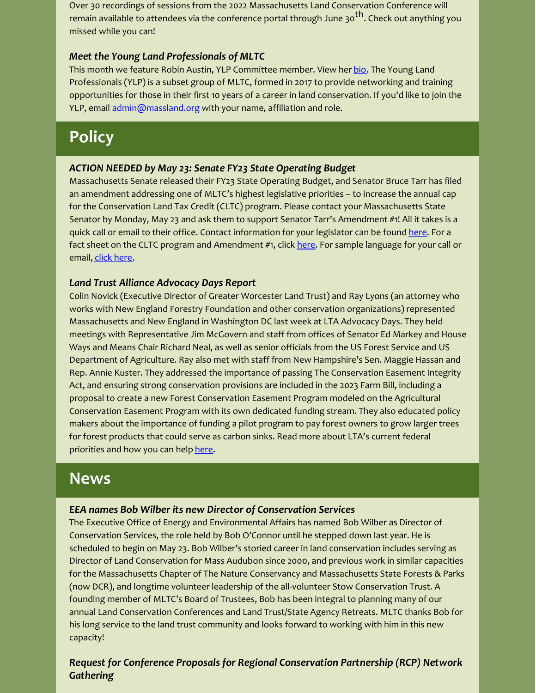Over 30 recordings of sessions from the 2022 Massachusetts Land Conservation Conference will remain available to attendees via the conference portal through June 30<sup>th</sup>. Check out anything you missed while you can!

## *Meet the Young Land Professionals of MLTC*

This month we feature Robin Austin, YLP Committee member. View her [bio](https://massland.org/sites/default/files/files/robin_austin.pdf). The Young Land Professionals (YLP) is a subset group of MLTC, formed in 2017 to provide networking and training opportunities for those in their first 10 years of a career in land conservation. If you'd like to join the YLP, email admin@massland.org with your name, affiliation and role.

# **Policy**

#### *ACTION NEEDED by May 23: Senate FY23 State Operating Budget*

Massachusetts Senate released their FY23 State Operating Budget, and Senator Bruce Tarr has filed an amendment addressing one of MLTC's highest legislative priorities -- to increase the annual cap for the Conservation Land Tax Credit (CLTC) program. Please contact your Massachusetts State Senator by Monday, May 23 and ask them to support Senator Tarr's Amendment #1! All it takes is a quick call or email to their office. Contact information for your legislator can be found [here](https://malegislature.gov/Search/FindMyLegislator). For a fact sheet on the CLTC program and Amendment #1, click [here](https://files.constantcontact.com/6e3790be001/236463fb-1787-44e4-a429-39fb907d6cc2.pdf). For sample language for your call or email, [click](https://massland.org/cltc_senate_vote_letter_wording) here.

## *Land Trust Alliance Advocacy Days Report*

Colin Novick (Executive Director of Greater Worcester Land Trust) and Ray Lyons (an attorney who works with New England Forestry Foundation and other conservation organizations) represented Massachusetts and New England in Washington DC last week at LTA Advocacy Days. They held meetings with Representative Jim McGovern and staff from offices of Senator Ed Markey and House Ways and Means Chair Richard Neal, as well as senior officials from the US Forest Service and US Department of Agriculture. Ray also met with staff from New Hampshire's Sen. Maggie Hassan and Rep. Annie Kuster. They addressed the importance of passing The Conservation Easement Integrity Act, and ensuring strong conservation provisions are included in the 2023 Farm Bill, including a proposal to create a new Forest Conservation Easement Program modeled on the Agricultural Conservation Easement Program with its own dedicated funding stream. They also educated policy makers about the importance of funding a pilot program to pay forest owners to grow larger trees for forest products that could serve as carbon sinks. Read more about LTA's current federal priorities and how you can help [here](https://www.landtrustalliance.org/issues-action).

## **News**

#### *EEA names Bob Wilber its new Director of Conservation Services*

The Executive Office of Energy and Environmental Affairs has named Bob Wilber as Director of Conservation Services, the role held by Bob O'Connor until he stepped down last year. He is scheduled to begin on May 23. Bob Wilber's storied career in land conservation includes serving as Director of Land Conservation for Mass Audubon since 2000, and previous work in similar capacities for the Massachusetts Chapter of The Nature Conservancy and Massachusetts State Forests & Parks (now DCR), and longtime volunteer leadership of the all-volunteer Stow Conservation Trust. A founding member of MLTC's Board of Trustees, Bob has been integral to planning many of our annual Land Conservation Conferences and Land Trust/State Agency Retreats. MLTC thanks Bob for his long service to the land trust community and looks forward to working with him in this new capacity!

## *Request for Conference Proposals for Regional Conservation Partnership (RCP) Network Gathering*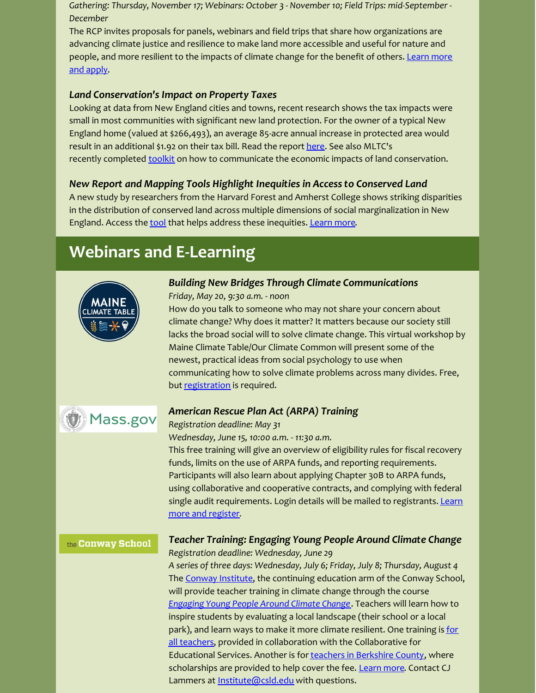*Gathering: Thursday, November 17; Webinars: October 3 - November 10; Field Trips: mid-September - December*

The RCP invites proposals for panels, webinars and field trips that share how organizations are advancing climate justice and resilience to make land more accessible and useful for nature and people, and more [resilient](https://wildlandsandwoodlands.org/news-and-stories/request-for-proposals-2022-rcp-network-gathering-on-climate-justice-and-resilience/) to the impacts of climate change for the benefit of others. Learn more and apply.

## *Land Conservation's Impact on Property Taxes*

Looking at data from New England cities and towns, recent research shows the tax impacts were small in most communities with significant new land protection. For the owner of a typical New England home (valued at \$266,493), an average 85-acre annual increase in protected area would result in an additional \$1.92 on their tax bill. Read the report [here](https://rilandtrusts.us12.list-manage.com/track/click?u=03439dce1286e07b1d8f4387f&id=56969f4197&e=660afdcffd). See also MLTC's recently completed [toolkit](https://massland.org/naturesvalue) on how to communicate the economic impacts of land conservation.

## *New Report and Mapping Tools Highlight Inequities in Access to Conserved Land*

A new study by researchers from the Harvard Forest and Amherst College shows striking disparities in the distribution of conserved land across multiple dimensions of social marginalization in New England. Access the [tool](https://harvard-cga.maps.arcgis.com/apps/webappviewer/index.html?id=ebd2c9acc0b14918895b59de4e9842cb) that helps address these inequities. [Learn](https://wildlandsandwoodlands.us2.list-manage.com/track/click?u=9f4ae56fab64a620bf37db14c&id=5877565444&e=78d766cb3a) more.

# **Webinars and E-Learning**



## *Building New Bridges Through Climate Communications*

*Friday, May 20, 9:30 a.m. - noon*

How do you talk to someone who may not share your concern about climate change? Why does it matter? It matters because our society still lacks the broad social will to solve climate change. This virtual workshop by Maine Climate Table/Our Climate Common will present some of the newest, practical ideas from social psychology to use when communicating how to solve climate problems across many divides. Free, but [registration](https://us06web.zoom.us/meeting/register/tZEvduyhqjksGNLlChHfGMUu9zosQyll0_jg?__vbtrk=OTk0NDY6NTc0MjY0NjI6bmV3c2xldHRlcg==&_uax=OTk0NDY6NTc0MjY0NjI=) is required.



## *American Rescue Plan Act (ARPA) Training*

## *Registration deadline: May 31*

*Wednesday, June 15, 10:00 a.m. - 11:30 a.m.*

This free training will give an overview of eligibility rules for fiscal recovery funds, limits on the use of ARPA funds, and reporting requirements. Participants will also learn about applying Chapter 30B to ARPA funds, using collaborative and cooperative contracts, and complying with federal single audit [requirements.](https://www.mass.gov/service-details/american-rescue-plan-act-arpa-training) Login details will be mailed to registrants. Learn more and register.

#### the Conway School

## *Teacher Training: Engaging Young People Around Climate Change Registration deadline: Wednesday, June 29*

*A series of three days: Wednesday, July 6; Friday, July 8; Thursday, August 4* The Conway [Institute](https://csld.edu/institute/), the continuing education arm of the Conway School, will provide teacher training in climate change through the course *[Engaging](https://csld.edu/institute/ccc/) Young People Around Climate Change*. Teachers will learn how to inspire students by evaluating a local landscape (their school or a local park), and learn ways to make it more climate resilient. One training is for all teachers, provided in [collaboration](https://csld.edu/institute/ccc/) with the Collaborative for Educational Services. Another is for teachers in [Berkshire](https://www.eventbrite.com/e/305937155267) County, where scholarships are provided to help cover the fee. [Learn](https://csld.edu/institute/ccc/) more. Contact CJ Lammers at **[Institute@csld.edu](mailto:Institute@csld.edu)** with questions.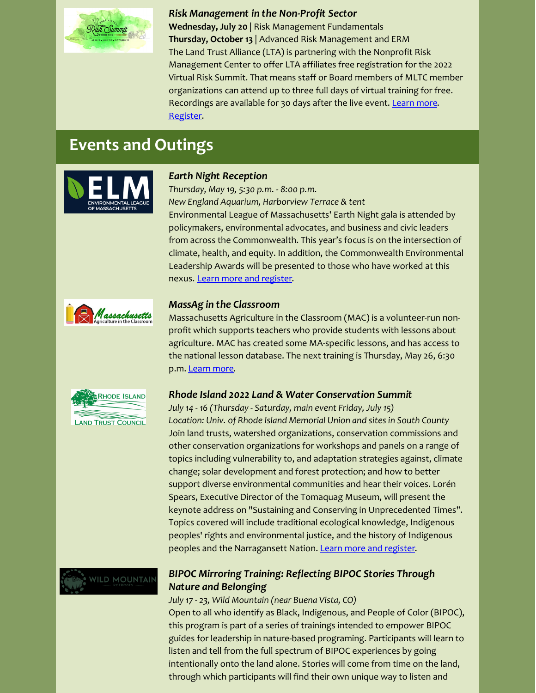

#### *Risk Management in the Non-Profit Sector*

**Wednesday, July 20** | Risk Management Fundamentals **Thursday, October 13** | Advanced Risk Management and ERM The Land Trust Alliance (LTA) is partnering with the Nonprofit Risk Management Center to offer LTA affiliates free registration for the 2022 Virtual Risk Summit. That means staff or Board members of MLTC member organizations can attend up to three full days of virtual training for free. Recordings are available for 30 days after the live event. [Learn](https://2022risksummit.org/session-category/risk-management-fundamentals/) more. [Register](https://www.eventbrite.com/e/2022-virtual-risk-summit-registration-251333504277).

## **Events and Outings**



#### *Earth Night Reception*

*Thursday, May 19, 5:30 p.m. - 8:00 p.m. New England Aquarium, Harborview Terrace & tent* Environmental League of Massachusetts' Earth Night gala is attended by policymakers, environmental advocates, and business and civic leaders from across the Commonwealth. This year's focus is on the intersection of climate, health, and equity. In addition, the Commonwealth Environmental Leadership Awards will be presented to those who have worked at this nexus. Learn more and [register](https://www.environmentalleague.org/event/earth-night-2022/?eType=EmailBlastContent&eId=9d005601-fd95-4e12-9e2b-e443063ed47b).



#### *MassAg in the Classroom*

Massachusetts Agriculture in the Classroom (MAC) is a volunteer-run nonprofit which supports teachers who provide students with lessons about agriculture. MAC has created some MA-specific lessons, and has access to the national lesson database. The next training is Thursday, May 26, 6:30 p.m. [Learn](https://www.aginclassroom.org/workshops) more.



#### *Rhode Island 2022 Land & Water Conservation Summit*

*July 14 - 16 (Thursday - Saturday, main event Friday, July 15) Location: Univ. of Rhode Island Memorial Union and sites in South County* Join land trusts, watershed organizations, conservation commissions and other conservation organizations for workshops and panels on a range of topics including vulnerability to, and adaptation strategies against, climate change; solar development and forest protection; and how to better support diverse environmental communities and hear their voices. Lorén Spears, Executive Director of the Tomaquag Museum, will present the keynote address on "Sustaining and Conserving in Unprecedented Times". Topics covered will include traditional ecological knowledge, Indigenous peoples' rights and environmental justice, and the history of Indigenous peoples and the Narragansett Nation. Learn more and [register](https://www.landandwaterpartnership.org/).



## *BIPOC Mirroring Training: Reflecting BIPOC Stories Through Nature and Belonging*

*July 17 - 23, Wild Mountain (near Buena Vista, CO)* Open to all who identify as Black, Indigenous, and People of Color (BIPOC), this program is part of a series of trainings intended to empower BIPOC guides for leadership in nature-based programing. Participants will learn to listen and tell from the full spectrum of BIPOC experiences by going intentionally onto the land alone. Stories will come from time on the land, through which participants will find their own unique way to listen and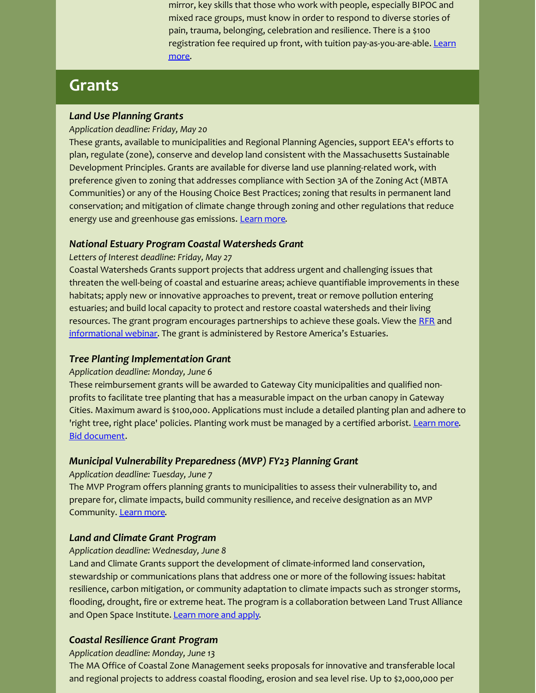mirror, key skills that those who work with people, especially BIPOC and mixed race groups, must know in order to respond to diverse stories of pain, trauma, belonging, celebration and resilience. There is a \$100 registration fee required up front, with tuition [pay-as-you-are-able.](https://wildmountainretreats.org/events/bipoc-mirroring-training-reflecting-bipoc-stories-through-nature-and-belonging) Learn more.

## **Grants**

## *Land Use Planning Grants*

#### *Application deadline: Friday, May 20*

These grants, available to municipalities and Regional Planning Agencies, support EEA's efforts to plan, regulate (zone), conserve and develop land consistent with the Massachusetts Sustainable Development Principles. Grants are available for diverse land use planning-related work, with preference given to zoning that addresses compliance with Section 3A of the Zoning Act (MBTA Communities) or any of the Housing Choice Best Practices; zoning that results in permanent land conservation; and mitigation of climate change through zoning and other regulations that reduce energy use and greenhouse gas emissions. [Learn](https://www.mass.gov/doc/fy-23-planning-assistance-grants/download) more.

## *National Estuary Program Coastal Watersheds Grant*

#### *Letters of Interest deadline: Friday, May 27*

Coastal Watersheds Grants support projects that address urgent and challenging issues that threaten the well-being of coastal and estuarine areas; achieve quantifiable improvements in these habitats; apply new or innovative approaches to prevent, treat or remove pollution entering estuaries; and build local capacity to protect and restore coastal watersheds and their living resources. The grant program encourages partnerships to achieve these goals. View the [RFR](https://estuaries.org/wp-content/uploads/2022/02/2022-CWG-RFP-FINAL-3-1-2022.pdf) and [informational](https://estuaries.org/initiatives/watershedgrants/2022-coastal-watersheds-grant/?utm_source=Mass+ECAN+members&utm_campaign=1efc73c4bc-EMAIL_CAMPAIGN_2017_11_15_COPY_01&utm_medium=email&utm_term=0_a7e8bd53ce-1efc73c4bc-357118432) webinar. The grant is administered by Restore America's Estuaries.

## *Tree Planting Implementation Grant*

## *Application deadline: Monday, June 6*

These reimbursement grants will be awarded to Gateway City municipalities and qualified nonprofits to facilitate tree planting that has a measurable impact on the urban canopy in Gateway Cities. Maximum award is \$100,000. Applications must include a detailed planting plan and adhere to 'right tree, right place' policies. Planting work must be managed by a certified arborist. [Learn](https://www.mass.gov/service-details/greening-the-gateway-cities-program) more. Bid [document](https://www.mass.gov/doc/dcr-grant-bid-document-tree-planting-implementation-grant/download).

## *Municipal Vulnerability Preparedness (MVP) FY23 Planning Grant*

#### *Application deadline: Tuesday, June 7*

The MVP Program offers planning grants to municipalities to assess their vulnerability to, and prepare for, climate impacts, build community resilience, and receive designation as an MVP Community. [Learn](https://www.mass.gov/service-details/mvp-planning-grant?utm_source=Mass+ECAN+members&utm_campaign=1efc73c4bc-EMAIL_CAMPAIGN_2017_11_15_COPY_01&utm_medium=email&utm_term=0_a7e8bd53ce-1efc73c4bc-357118432) more.

## *Land and Climate Grant Program*

#### *Application deadline: Wednesday, June 8*

Land and Climate Grants support the development of climate-informed land conservation, stewardship or communications plans that address one or more of the following issues: habitat resilience, carbon mitigation, or community adaptation to climate impacts such as stronger storms, flooding, drought, fire or extreme heat. The program is a collaboration between Land Trust Alliance and Open Space Institute. [Learn](https://www.landtrustalliance.org/topics/climate-change/land-and-climate-grant-program) more and apply.

## *Coastal Resilience Grant Program*

*Application deadline: Monday, June 13*

The MA Office of Coastal Zone Management seeks proposals for innovative and transferable local and regional projects to address coastal flooding, erosion and sea level rise. Up to \$2,000,000 per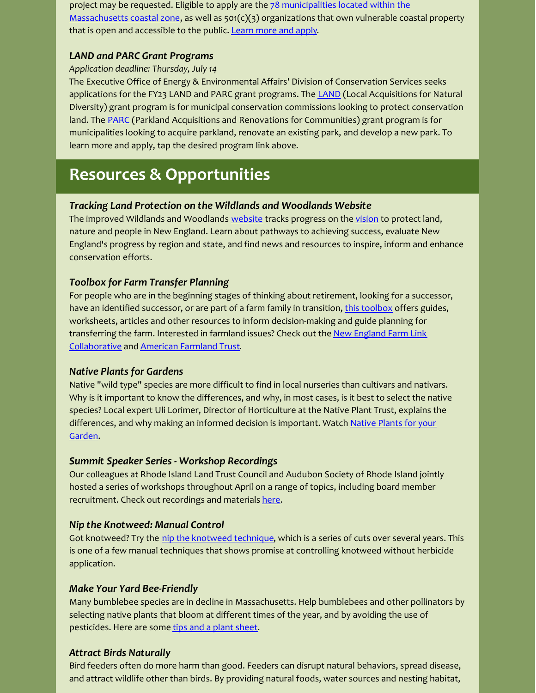project may be requested. Eligible to apply are the  $78$  municipalities located within the [Massachusetts](https://www.mass.gov/service-details/overview-and-index-czm-regional-program) coastal zone, as well as  $501(c)(3)$  organizations that own vulnerable coastal property that is open and accessible to the public. [Learn](https://www.mass.gov/service-details/coastal-resilience-grant-program) more and apply.

## *LAND and PARC Grant Programs*

## *Application deadline: Thursday, July 14*

The Executive Office of Energy & Environmental Affairs' Division of Conservation Services seeks applications for the FY23 [LAND](https://www.mass.gov/how-to/apply-for-a-local-acquisitions-for-natural-diversity-land-grant) and PARC grant programs. The LAND (Local Acquisitions for Natural Diversity) grant program is for municipal conservation commissions looking to protect conservation land. The [PARC](https://www.mass.gov/how-to/apply-to-the-parkland-acquisitions-and-renovations-for-communities-parc-grant-program) (Parkland Acquisitions and Renovations for Communities) grant program is for municipalities looking to acquire parkland, renovate an existing park, and develop a new park. To learn more and apply, tap the desired program link above.

## **Resources & Opportunities**

## *Tracking Land Protection on the Wildlands and Woodlands Website*

The improved Wildlands and Woodlands [website](https://wildlandsandwoodlands.org/) tracks progress on the [vision](https://wildlandsandwoodlands.org/the-vision/) to protect land, nature and people in New England. Learn about pathways to achieving success, evaluate New England's progress by region and state, and find news and resources to inspire, inform and enhance conservation efforts.

## *Toolbox for Farm Transfer Planning*

For people who are in the beginning stages of thinking about retirement, looking for a successor, have an identified successor, or are part of a farm family in transition, this [toolbox](https://rilandtrusts.us12.list-manage.com/track/click?u=03439dce1286e07b1d8f4387f&id=f90fa43ad9&e=660afdcffd) offers guides, worksheets, articles and other resources to inform decision-making and guide planning for transf[e](https://rilandtrusts.us12.list-manage.com/track/click?u=03439dce1286e07b1d8f4387f&id=1a158fb0f4&e=660afdcffd)rring the farm. Interested in farmland issues? Check out the New England Farm Link [Collaborative](https://rilandtrusts.us12.list-manage.com/track/click?u=03439dce1286e07b1d8f4387f&id=1a158fb0f4&e=660afdcffd) and [American](https://rilandtrusts.us12.list-manage.com/track/click?u=03439dce1286e07b1d8f4387f&id=6afd57d870&e=660afdcffd) Farmland Trust.

## *Native Plants for Gardens*

Native "wild type" species are more difficult to find in local nurseries than cultivars and nativars. Why is it important to know the differences, and why, in most cases, is it best to select the native species? Local expert Uli Lorimer, Director of Horticulture at the Native Plant Trust, explains the [differences,](https://r20.rs6.net/tn.jsp?f=001Oxm8m1pHJv030SCrxMvIu9sZrJ0nXtLB9gm1-M0yEYxO6UOscjgJ8qAGhYm4FRBOAsV5NYiKV5ZwOPPGSA96z2d9BjSdbKEdp5VJvkMq6yxKpPxMH6z5iajyL8DvOu6_m0pJ2tOZIQqjKj906jUsjBmufe7SlGDET5gt1rZvmxvQAwqFCj05GQ==&c=yJNneisGKYK-wxdsEoo-S4WRHQM-r-cUYWt4b4twd5UmXlsKA_jltQ==&ch=JnF6k9pDcgFqyZvQeWFHsjnxwMX2QghR_NpUp1Ke4hza_Nc6PnllqA==) and why making an informed decision is important. Watch Native Plants for your Garden.

## *Summit Speaker Series - Workshop Recordings*

Our colleagues at Rhode Island Land Trust Council and Audubon Society of Rhode Island jointly hosted a series of workshops throughout April on a range of topics, including board member recruitment. Check out recordings and materials [here](https://rilandtrusts.org/workshops.htm).

## *Nip the Knotweed: Manual Control*

Got [knotweed](https://r20.rs6.net/tn.jsp?f=001Oxm8m1pHJv030SCrxMvIu9sZrJ0nXtLB9gm1-M0yEYxO6UOscjgJ8o8M3uTU84-tm72ph4H6zI6xYy3IbThYst2HzRxlQdCKqTyvkpd6QA0TmP-JAL2o0IVUsiBDuAngEIOOCigR7Q4HEjr29Owsc1Yu4gTSlIvyKP1P84wMc14O40RynvbAYDLv83JlknVBnqmf8AP-o4YOAInz0YOkhSgBtIaVZRz2snM0VKQ4Wjg=&c=yJNneisGKYK-wxdsEoo-S4WRHQM-r-cUYWt4b4twd5UmXlsKA_jltQ==&ch=JnF6k9pDcgFqyZvQeWFHsjnxwMX2QghR_NpUp1Ke4hza_Nc6PnllqA==)? Try the nip the knotweed technique, which is a series of cuts over several years. This is one of a few manual techniques that shows promise at controlling knotweed without herbicide application.

## *Make Your Yard Bee-Friendly*

Many bumblebee species are in decline in Massachusetts. Help bumblebees and other pollinators by selecting native plants that bloom at different times of the year, and by avoiding the use of pesticides. Here are some tips and a plant [sheet](https://www.mass.gov/news/plant-a-bumblebee-friendly-garden).

## *Attract Birds Naturally*

Bird feeders often do more harm than good. Feeders can disrupt natural behaviors, spread disease, and attract wildlife other than birds. By providing natural foods, water sources and nesting habitat,